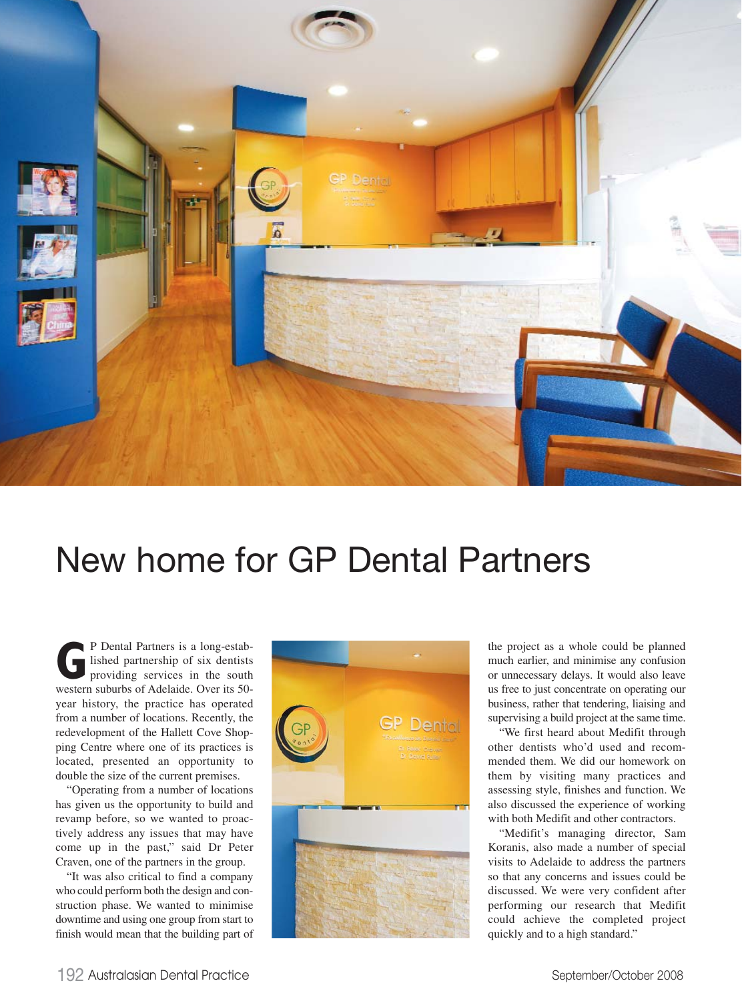

## New home for GP Dental Partners

**G**P Dental Partners is a long-estab-<br>lished partnership of six dentists<br>providing services in the south<br>western suburbs of Adelaide. Over its 50lished partnership of six dentists providing services in the south western suburbs of Adelaide. Over its 50 year history, the practice has operated from a number of locations. Recently, the redevelopment of the Hallett Cove Shopping Centre where one of its practices is located, presented an opportunity to double the size of the current premises.

"Operating from a number of locations has given us the opportunity to build and revamp before, so we wanted to proactively address any issues that may have come up in the past," said Dr Peter Craven, one of the partners in the group.

"It was also critical to find a company who could perform both the design and construction phase. We wanted to minimise downtime and using one group from start to finish would mean that the building part of



the project as a whole could be planned much earlier, and minimise any confusion or unnecessary delays. It would also leave us free to just concentrate on operating our business, rather that tendering, liaising and supervising a build project at the same time.

"We first heard about Medifit through other dentists who'd used and recommended them. We did our homework on them by visiting many practices and assessing style, finishes and function. We also discussed the experience of working with both Medifit and other contractors.

"Medifit's managing director, Sam Koranis, also made a number of special visits to Adelaide to address the partners so that any concerns and issues could be discussed. We were very confident after performing our research that Medifit could achieve the completed project quickly and to a high standard."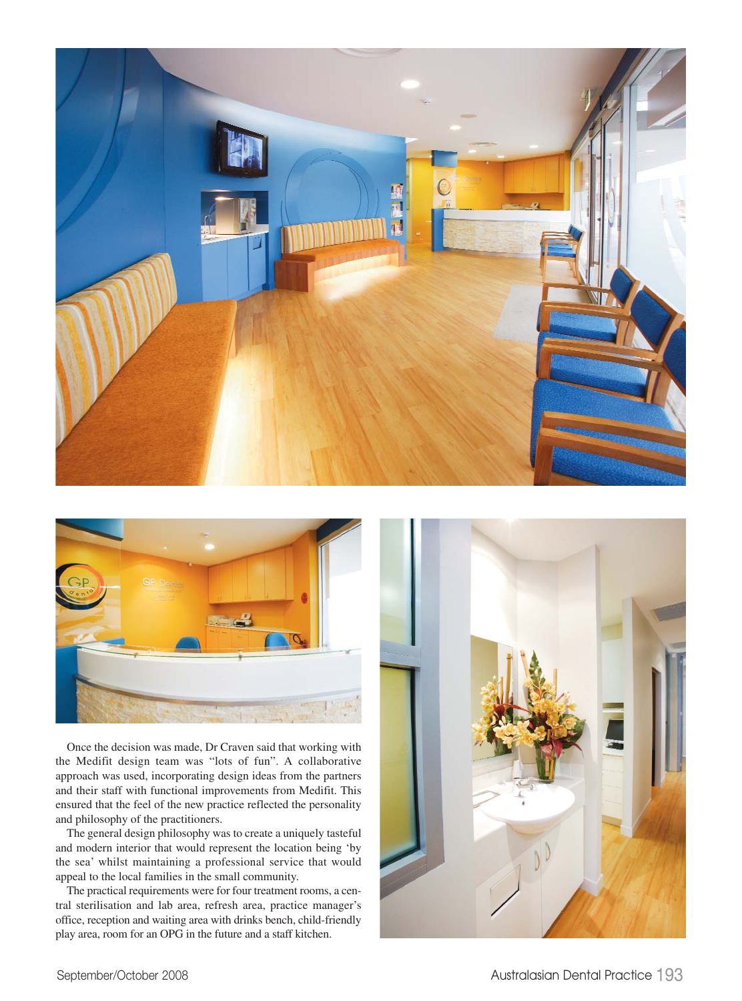



Once the decision was made, Dr Craven said that working with the Medifit design team was "lots of fun". A collaborative approach was used, incorporating design ideas from the partners and their staff with functional improvements from Medifit. This ensured that the feel of the new practice reflected the personality and philosophy of the practitioners.

The general design philosophy was to create a uniquely tasteful and modern interior that would represent the location being 'by the sea' whilst maintaining a professional service that would appeal to the local families in the small community.

The practical requirements were for four treatment rooms, a central sterilisation and lab area, refresh area, practice manager's office, reception and waiting area with drinks bench, child-friendly play area, room for an OPG in the future and a staff kitchen.

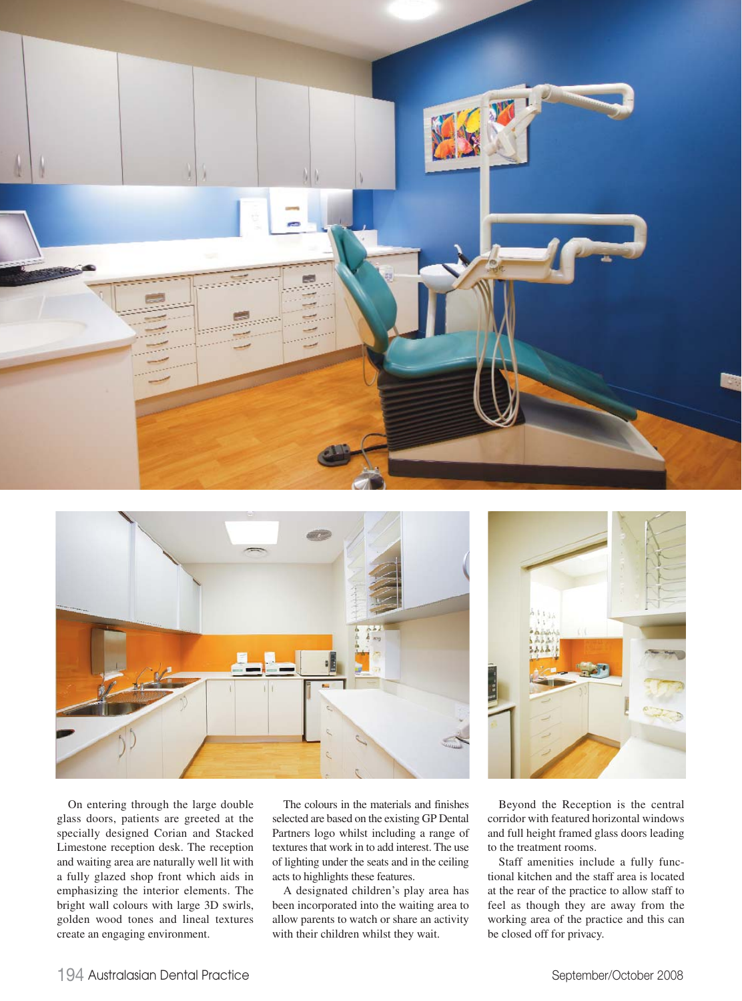





On entering through the large double glass doors, patients are greeted at the specially designed Corian and Stacked Limestone reception desk. The reception and waiting area are naturally well lit with a fully glazed shop front which aids in emphasizing the interior elements. The bright wall colours with large 3D swirls, golden wood tones and lineal textures create an engaging environment.

The colours in the materials and finishes selected are based on the existing GP Dental Partners logo whilst including a range of textures that work in to add interest. The use of lighting under the seats and in the ceiling acts to highlights these features.

A designated children's play area has been incorporated into the waiting area to allow parents to watch or share an activity with their children whilst they wait.

Beyond the Reception is the central corridor with featured horizontal windows and full height framed glass doors leading to the treatment rooms.

Staff amenities include a fully functional kitchen and the staff area is located at the rear of the practice to allow staff to feel as though they are away from the working area of the practice and this can be closed off for privacy.